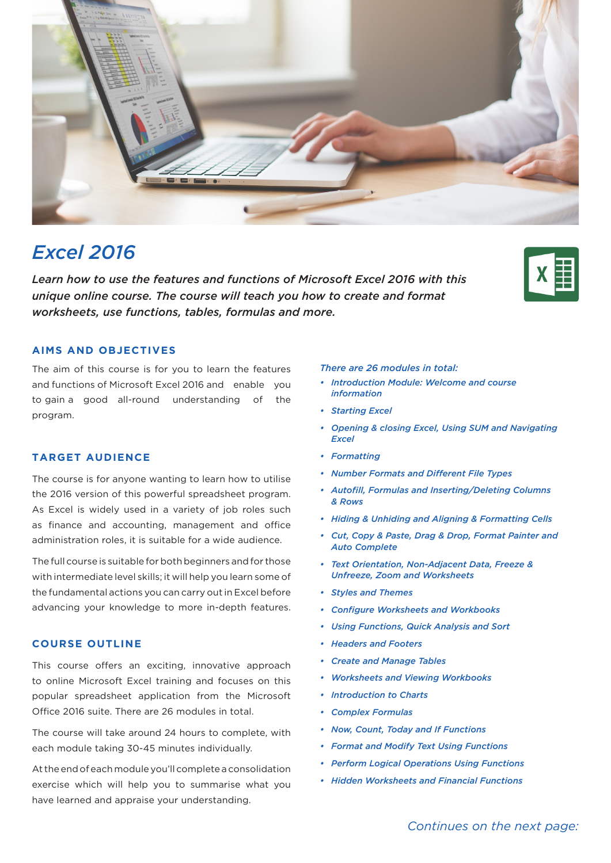

# *Excel 2016*

*Learn how to use the features and functions of Microsoft Excel 2016 with this unique online course. The course will teach you how to create and format worksheets, use functions, tables, formulas and more.*



#### **AIMS AND OBJECTIVES**

The aim of this course is for you to learn the features and functions of Microsoft Excel 2016 and enable you to gain a good all-round understanding of the program.

### **TARGET AUDIENCE**

The course is for anyone wanting to learn how to utilise the 2016 version of this powerful spreadsheet program. As Excel is widely used in a variety of job roles such as finance and accounting, management and office administration roles, it is suitable for a wide audience.

The full course is suitable for both beginners and for those with intermediate level skills; it will help you learn some of the fundamental actions you can carry out in Excel before advancing your knowledge to more in-depth features.

## **COURSE OUTLINE**

This course offers an exciting, innovative approach to online Microsoft Excel training and focuses on this popular spreadsheet application from the Microsoft Office 2016 suite. There are 26 modules in total.

The course will take around 24 hours to complete, with each module taking 30-45 minutes individually.

At the end of each module you'll complete a consolidation exercise which will help you to summarise what you have learned and appraise your understanding.

*There are 26 modules in total:*

- *• Introduction Module: Welcome and course information*
- *• Starting Excel*
- *• Opening & closing Excel, Using SUM and Navigating Excel*
- *• Formatting*
- *• Number Formats and Different File Types*
- *• Autofill, Formulas and Inserting/Deleting Columns & Rows*
- *• Hiding & Unhiding and Aligning & Formatting Cells*
- *• Cut, Copy & Paste, Drag & Drop, Format Painter and Auto Complete*
- *• Text Orientation, Non-Adjacent Data, Freeze & Unfreeze, Zoom and Worksheets*
- *• Styles and Themes*
- *• Configure Worksheets and Workbooks*
- *• Using Functions, Quick Analysis and Sort*
- *• Headers and Footers*
- *• Create and Manage Tables*
- *• Worksheets and Viewing Workbooks*
- *• Introduction to Charts*
- *• Complex Formulas*
- *• Now, Count, Today and If Functions*
- *• Format and Modify Text Using Functions*
- *• Perform Logical Operations Using Functions*
- *• Hidden Worksheets and Financial Functions*